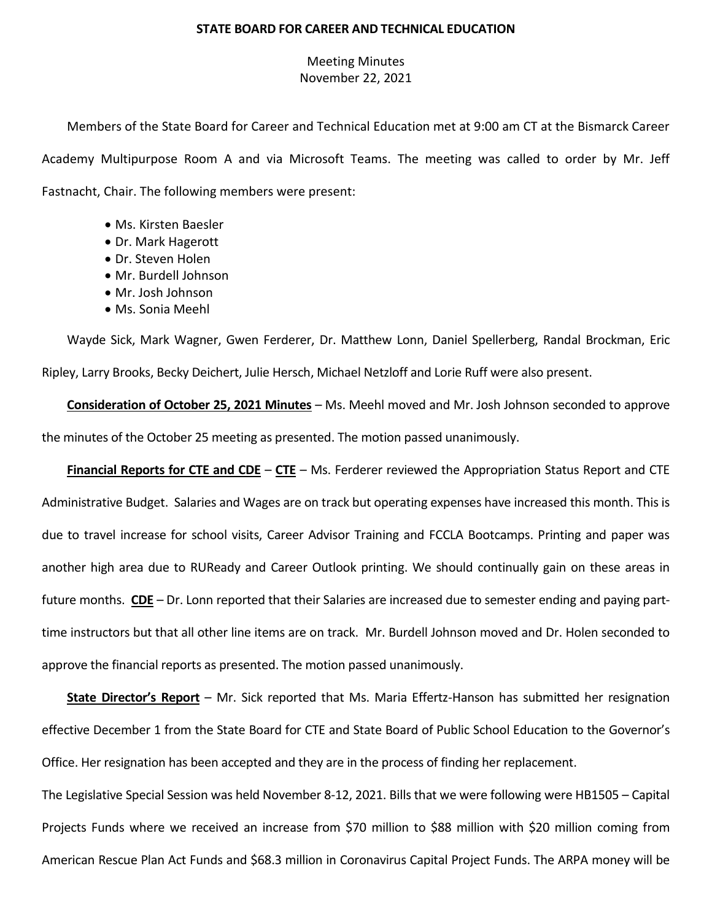## **STATE BOARD FOR CAREER AND TECHNICAL EDUCATION**

## Meeting Minutes November 22, 2021

Members of the State Board for Career and Technical Education met at 9:00 am CT at the Bismarck Career Academy Multipurpose Room A and via Microsoft Teams. The meeting was called to order by Mr. Jeff Fastnacht, Chair. The following members were present:

- Ms. Kirsten Baesler
- Dr. Mark Hagerott
- Dr. Steven Holen
- Mr. Burdell Johnson
- Mr. Josh Johnson
- Ms. Sonia Meehl

Wayde Sick, Mark Wagner, Gwen Ferderer, Dr. Matthew Lonn, Daniel Spellerberg, Randal Brockman, Eric Ripley, Larry Brooks, Becky Deichert, Julie Hersch, Michael Netzloff and Lorie Ruff were also present.

**Consideration of October 25, 2021 Minutes** – Ms. Meehl moved and Mr. Josh Johnson seconded to approve the minutes of the October 25 meeting as presented. The motion passed unanimously.

**Financial Reports for CTE and CDE** – **CTE** – Ms. Ferderer reviewed the Appropriation Status Report and CTE Administrative Budget. Salaries and Wages are on track but operating expenses have increased this month. This is due to travel increase for school visits, Career Advisor Training and FCCLA Bootcamps. Printing and paper was another high area due to RUReady and Career Outlook printing. We should continually gain on these areas in future months. **CDE** – Dr. Lonn reported that their Salaries are increased due to semester ending and paying parttime instructors but that all other line items are on track. Mr. Burdell Johnson moved and Dr. Holen seconded to approve the financial reports as presented. The motion passed unanimously.

**State Director's Report** – Mr. Sick reported that Ms. Maria Effertz-Hanson has submitted her resignation effective December 1 from the State Board for CTE and State Board of Public School Education to the Governor's Office. Her resignation has been accepted and they are in the process of finding her replacement.

The Legislative Special Session was held November 8-12, 2021. Bills that we were following were HB1505 – Capital Projects Funds where we received an increase from \$70 million to \$88 million with \$20 million coming from American Rescue Plan Act Funds and \$68.3 million in Coronavirus Capital Project Funds. The ARPA money will be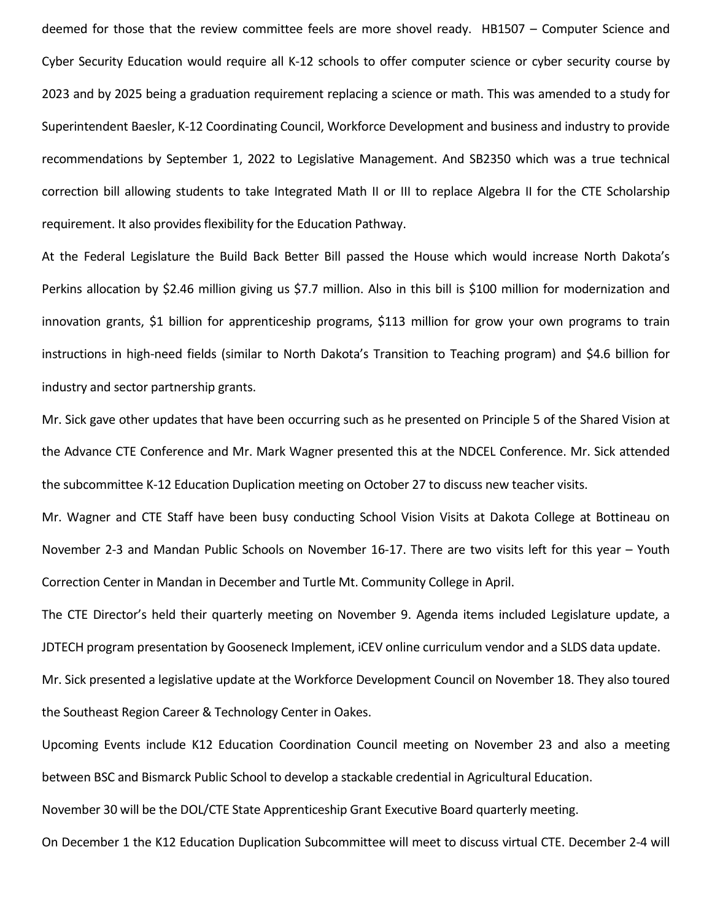deemed for those that the review committee feels are more shovel ready. HB1507 – Computer Science and Cyber Security Education would require all K-12 schools to offer computer science or cyber security course by 2023 and by 2025 being a graduation requirement replacing a science or math. This was amended to a study for Superintendent Baesler, K-12 Coordinating Council, Workforce Development and business and industry to provide recommendations by September 1, 2022 to Legislative Management. And SB2350 which was a true technical correction bill allowing students to take Integrated Math II or III to replace Algebra II for the CTE Scholarship requirement. It also provides flexibility for the Education Pathway.

At the Federal Legislature the Build Back Better Bill passed the House which would increase North Dakota's Perkins allocation by \$2.46 million giving us \$7.7 million. Also in this bill is \$100 million for modernization and innovation grants, \$1 billion for apprenticeship programs, \$113 million for grow your own programs to train instructions in high-need fields (similar to North Dakota's Transition to Teaching program) and \$4.6 billion for industry and sector partnership grants.

Mr. Sick gave other updates that have been occurring such as he presented on Principle 5 of the Shared Vision at the Advance CTE Conference and Mr. Mark Wagner presented this at the NDCEL Conference. Mr. Sick attended the subcommittee K-12 Education Duplication meeting on October 27 to discuss new teacher visits.

Mr. Wagner and CTE Staff have been busy conducting School Vision Visits at Dakota College at Bottineau on November 2-3 and Mandan Public Schools on November 16-17. There are two visits left for this year – Youth Correction Center in Mandan in December and Turtle Mt. Community College in April.

The CTE Director's held their quarterly meeting on November 9. Agenda items included Legislature update, a JDTECH program presentation by Gooseneck Implement, iCEV online curriculum vendor and a SLDS data update.

Mr. Sick presented a legislative update at the Workforce Development Council on November 18. They also toured the Southeast Region Career & Technology Center in Oakes.

Upcoming Events include K12 Education Coordination Council meeting on November 23 and also a meeting between BSC and Bismarck Public School to develop a stackable credential in Agricultural Education.

November 30 will be the DOL/CTE State Apprenticeship Grant Executive Board quarterly meeting.

On December 1 the K12 Education Duplication Subcommittee will meet to discuss virtual CTE. December 2-4 will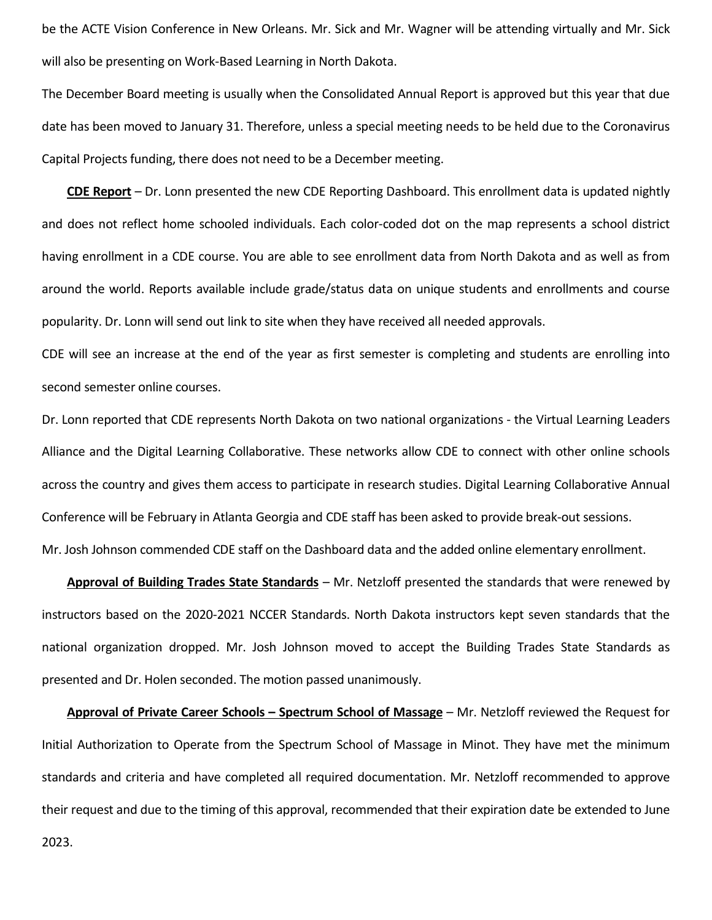be the ACTE Vision Conference in New Orleans. Mr. Sick and Mr. Wagner will be attending virtually and Mr. Sick will also be presenting on Work-Based Learning in North Dakota.

The December Board meeting is usually when the Consolidated Annual Report is approved but this year that due date has been moved to January 31. Therefore, unless a special meeting needs to be held due to the Coronavirus Capital Projects funding, there does not need to be a December meeting.

**CDE Report** – Dr. Lonn presented the new CDE Reporting Dashboard. This enrollment data is updated nightly and does not reflect home schooled individuals. Each color-coded dot on the map represents a school district having enrollment in a CDE course. You are able to see enrollment data from North Dakota and as well as from around the world. Reports available include grade/status data on unique students and enrollments and course popularity. Dr. Lonn will send out link to site when they have received all needed approvals.

CDE will see an increase at the end of the year as first semester is completing and students are enrolling into second semester online courses.

Dr. Lonn reported that CDE represents North Dakota on two national organizations - the Virtual Learning Leaders Alliance and the Digital Learning Collaborative. These networks allow CDE to connect with other online schools across the country and gives them access to participate in research studies. Digital Learning Collaborative Annual Conference will be February in Atlanta Georgia and CDE staff has been asked to provide break-out sessions. Mr. Josh Johnson commended CDE staff on the Dashboard data and the added online elementary enrollment.

**Approval of Building Trades State Standards** – Mr. Netzloff presented the standards that were renewed by instructors based on the 2020-2021 NCCER Standards. North Dakota instructors kept seven standards that the national organization dropped. Mr. Josh Johnson moved to accept the Building Trades State Standards as presented and Dr. Holen seconded. The motion passed unanimously.

**Approval of Private Career Schools – Spectrum School of Massage** – Mr. Netzloff reviewed the Request for Initial Authorization to Operate from the Spectrum School of Massage in Minot. They have met the minimum standards and criteria and have completed all required documentation. Mr. Netzloff recommended to approve their request and due to the timing of this approval, recommended that their expiration date be extended to June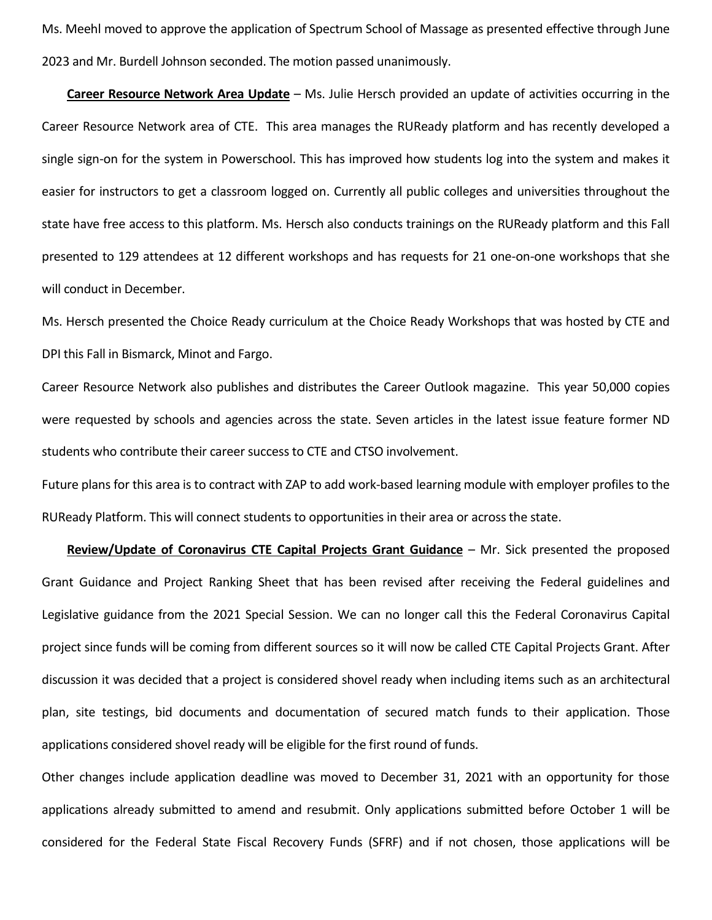Ms. Meehl moved to approve the application of Spectrum School of Massage as presented effective through June 2023 and Mr. Burdell Johnson seconded. The motion passed unanimously.

**Career Resource Network Area Update** – Ms. Julie Hersch provided an update of activities occurring in the Career Resource Network area of CTE. This area manages the RUReady platform and has recently developed a single sign-on for the system in Powerschool. This has improved how students log into the system and makes it easier for instructors to get a classroom logged on. Currently all public colleges and universities throughout the state have free access to this platform. Ms. Hersch also conducts trainings on the RUReady platform and this Fall presented to 129 attendees at 12 different workshops and has requests for 21 one-on-one workshops that she will conduct in December.

Ms. Hersch presented the Choice Ready curriculum at the Choice Ready Workshops that was hosted by CTE and DPI this Fall in Bismarck, Minot and Fargo.

Career Resource Network also publishes and distributes the Career Outlook magazine. This year 50,000 copies were requested by schools and agencies across the state. Seven articles in the latest issue feature former ND students who contribute their career success to CTE and CTSO involvement.

Future plans for this area is to contract with ZAP to add work-based learning module with employer profiles to the RUReady Platform. This will connect students to opportunities in their area or across the state.

**Review/Update of Coronavirus CTE Capital Projects Grant Guidance** – Mr. Sick presented the proposed Grant Guidance and Project Ranking Sheet that has been revised after receiving the Federal guidelines and Legislative guidance from the 2021 Special Session. We can no longer call this the Federal Coronavirus Capital project since funds will be coming from different sources so it will now be called CTE Capital Projects Grant. After discussion it was decided that a project is considered shovel ready when including items such as an architectural plan, site testings, bid documents and documentation of secured match funds to their application. Those applications considered shovel ready will be eligible for the first round of funds.

Other changes include application deadline was moved to December 31, 2021 with an opportunity for those applications already submitted to amend and resubmit. Only applications submitted before October 1 will be considered for the Federal State Fiscal Recovery Funds (SFRF) and if not chosen, those applications will be